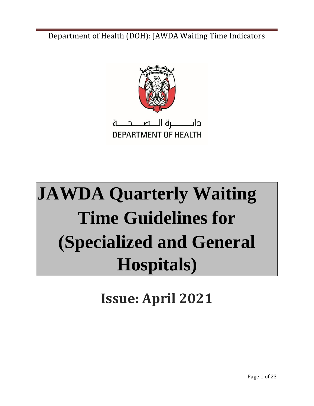

# **JAWDA Quarterly Waiting Time Guidelines for (Specialized and General Hospitals)**

**Issue: April 2021**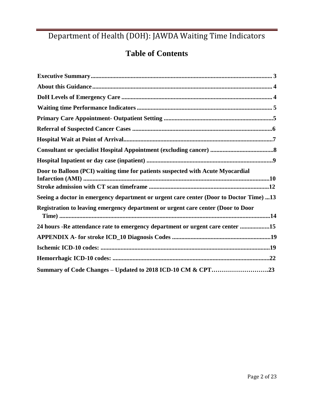# **Table of Contents**

| Door to Balloon (PCI) waiting time for patients suspected with Acute Myocardial        |
|----------------------------------------------------------------------------------------|
| Seeing a doctor in emergency department or urgent care center (Door to Doctor Time) 13 |
| Registration to leaving emergency department or urgent care center (Door to Door       |
| 24 hours - Re attendance rate to emergency department or urgent care center 15         |
|                                                                                        |
|                                                                                        |
|                                                                                        |
|                                                                                        |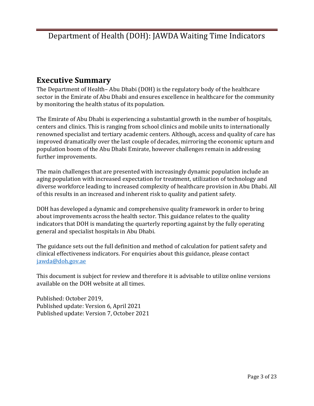### <span id="page-2-0"></span>**Executive Summary**

The Department of Health– Abu Dhabi (DOH) is the regulatory body of the healthcare sector in the Emirate of Abu Dhabi and ensures excellence in healthcare for the community by monitoring the health status of its population.

The Emirate of Abu Dhabi is experiencing a substantial growth in the number of hospitals, centers and clinics. This is ranging from school clinics and mobile units to internationally renowned specialist and tertiary academic centers. Although, access and quality of care has improved dramatically over the last couple of decades, mirroring the economic upturn and population boom of the Abu Dhabi Emirate, however challenges remain in addressing further improvements.

The main challenges that are presented with increasingly dynamic population include an aging population with increased expectation for treatment, utilization of technology and diverse workforce leading to increased complexity of healthcare provision in Abu Dhabi. All of this results in an increased and inherent risk to quality and patient safety.

DOH has developed a dynamic and comprehensive quality framework in order to bring about improvements across the health sector. This guidance relates to the quality indicators that DOH is mandating the quarterly reporting against by the fully operating general and specialist hospitals in Abu Dhabi.

The guidance sets out the full definition and method of calculation for patient safety and clinical effectiveness indicators. For enquiries about this guidance, please contact jawda@doh.gov.ae

This document is subject for review and therefore it is advisable to utilize online versions available on the DOH website at all times.

Published: October 2019, Published update: Version 6, April 2021 Published update: Version 7, October 2021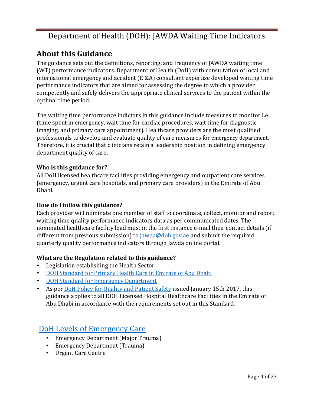# <span id="page-3-0"></span>**About this Guidance**

The guidance sets out the definitions, reporting, and frequency of JAWDA waiting time (WT) performance indicators. Department of Health (DoH) with consultation of local and international emergency and accident (E &A) consultant expertise developed waiting time performance indicators that are aimed for assessing the degree to which a provider competently and safely delivers the appropriate clinical services to the patient within the optimal time period.

The waiting time performance indictors in this guidance include measures to monitor I.e., (time spent in emergency, wait time for cardiac procedures, wait time for diagnostic imaging, and primary care appointment). Healthcare providers are the most qualified professionals to develop and evaluate quality of care measures for emergency department. Therefore, it is crucial that clinicians retain a leadership position in defining emergency department quality of care.

### **Who is this guidance for?**

All DoH licensed healthcare facilities providing emergency and outpatient care services (emergency, urgent care hospitals, and primary care providers) in the Emirate of Abu Dhabi.

### **How do I follow this guidance?**

Each provider will nominate one member of staff to coordinate, collect, monitor and report waiting time quality performance indicators data as per communicated dates. The nominated healthcare facility lead must in the first instance e-mail their contact details (if different from previous submission) to  $i$ awda@doh.gov.ae and submit the required quarterly quality performance indicators through Jawda online portal.

### **What are the Regulation related to this guidance?**

- Legislation establishing the Health Sector
- [DOH Standard for Primary Health Care in Emirate of Abu Dhabi](https://www.haad.ae/HAAD/LinkClick.aspx?fileticket=RydNHyzePSE%3d&tabid=819)
- DOH Standard [for Emergency Department](https://www.haad.ae/HAAD/LinkClick.aspx?fileticket=UDuZoR-8pqM%3d&tabid=819)
- As per [DoH Policy for Quality and Patient Safety](https://www.haad.ae/HAAD/LinkClick.aspx?fileticket=Jrh93s-AyUA%3d&tabid=1276) [i](https://www.haad.ae/HAAD/LinkClick.aspx?fileticket=Jrh93s-AyUA%3d&tabid=1276)ssued January 15th 2017, this guidance applies to all DOH Licensed Hospital Healthcare Facilities in the Emirate of Abu Dhabi in accordance with the requirements set out in this Standard.

### <span id="page-3-1"></span>[DoH Levels of Emergency Care](https://www.doh.gov.ae/assets/standards/17-08-17%20HAAD%20Standard%20for%20Emergency%20Departments.pdf)

- Emergency Department (Major Trauma)
- Emergency Department (Trauma)
- Urgent Care Centre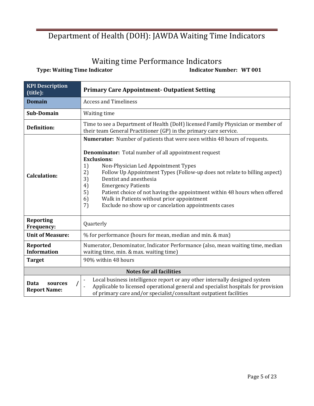# Waiting time Performance Indicators

<span id="page-4-0"></span>**Type: Waiting Time Indicator 1992 12:20 12:30 12:30 12:30 12:30 12:30 12:30 12:30 12:30 12:30 12:30 12:30 12:30 12:30 12:30 12:30 12:30 12:30 12:30 12:30 12:30 12:30 12:30 12:30 12:30 12:30 12:30 12:30 12:30 12:30 12:30 1** 

| <b>KPI Description</b><br>(title):     | <b>Primary Care Appointment-Outpatient Setting</b>                                                                                                                                                                                                                                                                                                                                                                                                                                                                                                                     |  |
|----------------------------------------|------------------------------------------------------------------------------------------------------------------------------------------------------------------------------------------------------------------------------------------------------------------------------------------------------------------------------------------------------------------------------------------------------------------------------------------------------------------------------------------------------------------------------------------------------------------------|--|
| <b>Domain</b>                          | <b>Access and Timeliness</b>                                                                                                                                                                                                                                                                                                                                                                                                                                                                                                                                           |  |
| Sub-Domain                             | Waiting time                                                                                                                                                                                                                                                                                                                                                                                                                                                                                                                                                           |  |
| <b>Definition:</b>                     | Time to see a Department of Health (DoH) licensed Family Physician or member of<br>their team General Practitioner (GP) in the primary care service.                                                                                                                                                                                                                                                                                                                                                                                                                   |  |
| <b>Calculation:</b>                    | Numerator: Number of patients that were seen within 48 hours of requests.<br><b>Denominator:</b> Total number of all appointment request<br><b>Exclusions:</b><br>1)<br>Non-Physician Led Appointment Types<br>2)<br>Follow Up Appointment Types (Follow-up does not relate to billing aspect)<br>3)<br>Dentist and anesthesia<br>4)<br><b>Emergency Patients</b><br>5)<br>Patient choice of not having the appointment within 48 hours when offered<br>Walk in Patients without prior appointment<br>6)<br>Exclude no show up or cancelation appointments cases<br>7) |  |
| <b>Reporting</b><br>Frequency:         | Quarterly                                                                                                                                                                                                                                                                                                                                                                                                                                                                                                                                                              |  |
| <b>Unit of Measure:</b>                | % for performance (hours for mean, median and min. & max)                                                                                                                                                                                                                                                                                                                                                                                                                                                                                                              |  |
| Reported<br><b>Information</b>         | Numerator, Denominator, Indicator Performance (also, mean waiting time, median<br>waiting time, min. & max. waiting time)                                                                                                                                                                                                                                                                                                                                                                                                                                              |  |
| <b>Target</b>                          | 90% within 48 hours                                                                                                                                                                                                                                                                                                                                                                                                                                                                                                                                                    |  |
|                                        | <b>Notes for all facilities</b>                                                                                                                                                                                                                                                                                                                                                                                                                                                                                                                                        |  |
| Data<br>sources<br><b>Report Name:</b> | Local business intelligence report or any other internally designed system<br>Applicable to licensed operational general and specialist hospitals for provision<br>of primary care and/or specialist/consultant outpatient facilities                                                                                                                                                                                                                                                                                                                                  |  |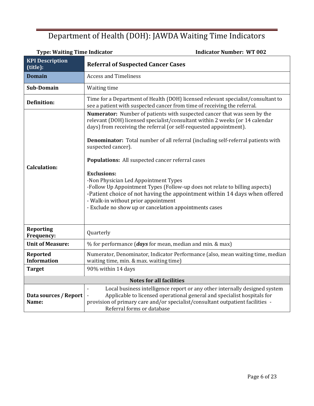| <b>Type: Waiting Time Indicator</b>   | <b>Indicator Number: WT 002</b>                                                                                                                                                                                                                                                                                                                                                                                                                                                                                                                                                                                                                                                                                         |
|---------------------------------------|-------------------------------------------------------------------------------------------------------------------------------------------------------------------------------------------------------------------------------------------------------------------------------------------------------------------------------------------------------------------------------------------------------------------------------------------------------------------------------------------------------------------------------------------------------------------------------------------------------------------------------------------------------------------------------------------------------------------------|
| <b>KPI Description</b><br>(title):    | <b>Referral of Suspected Cancer Cases</b>                                                                                                                                                                                                                                                                                                                                                                                                                                                                                                                                                                                                                                                                               |
| <b>Domain</b>                         | <b>Access and Timeliness</b>                                                                                                                                                                                                                                                                                                                                                                                                                                                                                                                                                                                                                                                                                            |
| Sub-Domain                            | Waiting time                                                                                                                                                                                                                                                                                                                                                                                                                                                                                                                                                                                                                                                                                                            |
| <b>Definition:</b>                    | Time for a Department of Health (DOH) licensed relevant specialist/consultant to<br>see a patient with suspected cancer from time of receiving the referral.                                                                                                                                                                                                                                                                                                                                                                                                                                                                                                                                                            |
| <b>Calculation:</b>                   | Numerator: Number of patients with suspected cancer that was seen by the<br>relevant (DOH) licensed specialist/consultant within 2 weeks (or 14 calendar<br>days) from receiving the referral (or self-requested appointment).<br>Denominator: Total number of all referral (including self-referral patients with<br>suspected cancer).<br>Populations: All suspected cancer referral cases<br><b>Exclusions:</b><br>-Non Physician Led Appointment Types<br>-Follow Up Appointment Types (Follow-up does not relate to billing aspects)<br>-Patient choice of not having the appointment within 14 days when offered<br>- Walk-in without prior appointment<br>- Exclude no show up or cancelation appointments cases |
| <b>Reporting</b><br>Frequency:        | Quarterly                                                                                                                                                                                                                                                                                                                                                                                                                                                                                                                                                                                                                                                                                                               |
| <b>Unit of Measure:</b>               | % for performance ( <i>days</i> for mean, median and min. & max)                                                                                                                                                                                                                                                                                                                                                                                                                                                                                                                                                                                                                                                        |
| <b>Reported</b><br><b>Information</b> | Numerator, Denominator, Indicator Performance (also, mean waiting time, median<br>waiting time, min. & max. waiting time)                                                                                                                                                                                                                                                                                                                                                                                                                                                                                                                                                                                               |
| <b>Target</b>                         | 90% within 14 days                                                                                                                                                                                                                                                                                                                                                                                                                                                                                                                                                                                                                                                                                                      |
|                                       | <b>Notes for all facilities</b>                                                                                                                                                                                                                                                                                                                                                                                                                                                                                                                                                                                                                                                                                         |
| Data sources / Report<br>Name:        | Local business intelligence report or any other internally designed system<br>Applicable to licensed operational general and specialist hospitals for<br>provision of primary care and/or specialist/consultant outpatient facilities -<br>Referral forms or database                                                                                                                                                                                                                                                                                                                                                                                                                                                   |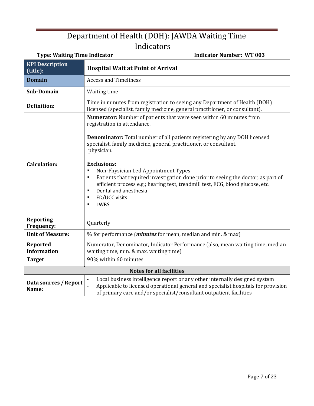| <b>Type: Waiting Time Indicator</b>   | <b>Indicator Number: WT 003</b>                                                                                                                                                                                                                                                                                                                                                                                                                                                                                                                                                                |
|---------------------------------------|------------------------------------------------------------------------------------------------------------------------------------------------------------------------------------------------------------------------------------------------------------------------------------------------------------------------------------------------------------------------------------------------------------------------------------------------------------------------------------------------------------------------------------------------------------------------------------------------|
| <b>KPI Description</b><br>(title):    | <b>Hospital Wait at Point of Arrival</b>                                                                                                                                                                                                                                                                                                                                                                                                                                                                                                                                                       |
| <b>Domain</b>                         | <b>Access and Timeliness</b>                                                                                                                                                                                                                                                                                                                                                                                                                                                                                                                                                                   |
| <b>Sub-Domain</b>                     | Waiting time                                                                                                                                                                                                                                                                                                                                                                                                                                                                                                                                                                                   |
| <b>Definition:</b>                    | Time in minutes from registration to seeing any Department of Health (DOH)<br>licensed (specialist, family medicine, general practitioner, or consultant).                                                                                                                                                                                                                                                                                                                                                                                                                                     |
| <b>Calculation:</b>                   | Numerator: Number of patients that were seen within 60 minutes from<br>registration in attendance.<br><b>Denominator:</b> Total number of all patients registering by any DOH licensed<br>specialist, family medicine, general practitioner, or consultant.<br>physician.<br><b>Exclusions:</b><br>Non-Physician Led Appointment Types<br>٠<br>Patients that required investigation done prior to seeing the doctor, as part of<br>٠<br>efficient process e.g.; hearing test, treadmill test, ECG, blood glucose, etc.<br>Dental and anesthesia<br>٠<br>ED/UCC visits<br>٠<br><b>LWBS</b><br>٠ |
| <b>Reporting</b><br><b>Frequency:</b> | Quarterly                                                                                                                                                                                                                                                                                                                                                                                                                                                                                                                                                                                      |
| <b>Unit of Measure:</b>               | % for performance ( <i>minutes</i> for mean, median and min. & max)                                                                                                                                                                                                                                                                                                                                                                                                                                                                                                                            |
| Reported<br><b>Information</b>        | Numerator, Denominator, Indicator Performance (also, mean waiting time, median<br>waiting time, min. & max. waiting time)                                                                                                                                                                                                                                                                                                                                                                                                                                                                      |
| <b>Target</b>                         | 90% within 60 minutes                                                                                                                                                                                                                                                                                                                                                                                                                                                                                                                                                                          |
|                                       | <b>Notes for all facilities</b>                                                                                                                                                                                                                                                                                                                                                                                                                                                                                                                                                                |
| Data sources / Report<br>Name:        | Local business intelligence report or any other internally designed system<br>Applicable to licensed operational general and specialist hospitals for provision<br>of primary care and/or specialist/consultant outpatient facilities                                                                                                                                                                                                                                                                                                                                                          |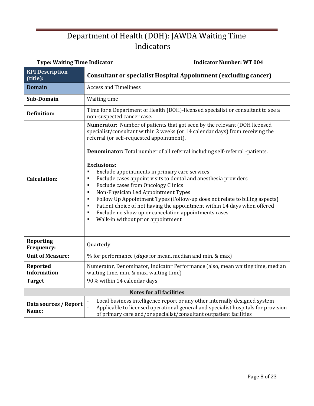| <b>Type: Waiting Time Indicator</b>   | <b>Indicator Number: WT 004</b>                                                                                                                                                                                                                                                                                                                                                                                                                                                                                                                                                                                                                                                                                                                                                                                                     |
|---------------------------------------|-------------------------------------------------------------------------------------------------------------------------------------------------------------------------------------------------------------------------------------------------------------------------------------------------------------------------------------------------------------------------------------------------------------------------------------------------------------------------------------------------------------------------------------------------------------------------------------------------------------------------------------------------------------------------------------------------------------------------------------------------------------------------------------------------------------------------------------|
| <b>KPI Description</b><br>(title):    | <b>Consultant or specialist Hospital Appointment (excluding cancer)</b>                                                                                                                                                                                                                                                                                                                                                                                                                                                                                                                                                                                                                                                                                                                                                             |
| <b>Domain</b>                         | <b>Access and Timeliness</b>                                                                                                                                                                                                                                                                                                                                                                                                                                                                                                                                                                                                                                                                                                                                                                                                        |
| Sub-Domain                            | Waiting time                                                                                                                                                                                                                                                                                                                                                                                                                                                                                                                                                                                                                                                                                                                                                                                                                        |
| <b>Definition:</b>                    | Time for a Department of Health (DOH)-licensed specialist or consultant to see a<br>non-suspected cancer case.                                                                                                                                                                                                                                                                                                                                                                                                                                                                                                                                                                                                                                                                                                                      |
| <b>Calculation:</b>                   | Numerator: Number of patients that got seen by the relevant (DOH licensed<br>specialist/consultant within 2 weeks (or 14 calendar days) from receiving the<br>referral (or self-requested appointment).<br>Denominator: Total number of all referral including self-referral -patients.<br><b>Exclusions:</b><br>Exclude appointments in primary care services<br>g,<br>Exclude cases appoint visits to dental and anesthesia providers<br>٠<br><b>Exclude cases from Oncology Clinics</b><br>٠<br>Non-Physician Led Appointment Types<br>$\blacksquare$<br>Follow Up Appointment Types (Follow-up does not relate to billing aspects)<br>٠<br>Patient choice of not having the appointment within 14 days when offered<br>٠<br>Exclude no show up or cancelation appointments cases<br>٠<br>Walk-in without prior appointment<br>٠ |
| <b>Reporting</b><br>Frequency:        | Quarterly                                                                                                                                                                                                                                                                                                                                                                                                                                                                                                                                                                                                                                                                                                                                                                                                                           |
| <b>Unit of Measure:</b>               | % for performance ( <i>days</i> for mean, median and min. & max)                                                                                                                                                                                                                                                                                                                                                                                                                                                                                                                                                                                                                                                                                                                                                                    |
| <b>Reported</b><br><b>Information</b> | Numerator, Denominator, Indicator Performance (also, mean waiting time, median<br>waiting time, min. & max. waiting time)                                                                                                                                                                                                                                                                                                                                                                                                                                                                                                                                                                                                                                                                                                           |
| <b>Target</b>                         | 90% within 14 calendar days                                                                                                                                                                                                                                                                                                                                                                                                                                                                                                                                                                                                                                                                                                                                                                                                         |
|                                       | <b>Notes for all facilities</b>                                                                                                                                                                                                                                                                                                                                                                                                                                                                                                                                                                                                                                                                                                                                                                                                     |
| Data sources / Report<br>Name:        | Local business intelligence report or any other internally designed system<br>$\overline{a}$<br>Applicable to licensed operational general and specialist hospitals for provision<br>of primary care and/or specialist/consultant outpatient facilities                                                                                                                                                                                                                                                                                                                                                                                                                                                                                                                                                                             |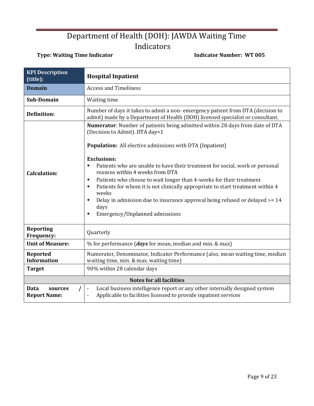### **Type: Waiting Time Indicator Community Community Community Community Community Community Community Community Community Community Community Community Community Community Community Community Community Community Community Co**

| <b>KPI Description</b><br>(title):            | <b>Hospital Inpatient</b>                                                                                                                                                                                                                                                                                                                                                                                                                                                                                                                                                                                                                                          |
|-----------------------------------------------|--------------------------------------------------------------------------------------------------------------------------------------------------------------------------------------------------------------------------------------------------------------------------------------------------------------------------------------------------------------------------------------------------------------------------------------------------------------------------------------------------------------------------------------------------------------------------------------------------------------------------------------------------------------------|
| <b>Domain</b>                                 | <b>Access and Timeliness</b>                                                                                                                                                                                                                                                                                                                                                                                                                                                                                                                                                                                                                                       |
| Sub-Domain                                    | Waiting time                                                                                                                                                                                                                                                                                                                                                                                                                                                                                                                                                                                                                                                       |
| <b>Definition:</b>                            | Number of days it takes to admit a non-emergency patient from DTA (decision to<br>admit) made by a Department of Health (DOH) licensed specialist or consultant.                                                                                                                                                                                                                                                                                                                                                                                                                                                                                                   |
| <b>Calculation:</b>                           | <b>Numerator:</b> Number of patients being admitted within 28 days from date of DTA<br>(Decision to Admit). DTA day=1<br><b>Population:</b> All elective admissions with DTA (Inpatient)<br><b>Exclusions:</b><br>Patients who are unable to have their treatment for social, work or personal<br>٠<br>reasons within 4 weeks from DTA<br>Patients who choose to wait longer than 4-weeks for their treatment<br>п<br>Patients for whom it is not clinically appropriate to start treatment within 4<br>٠<br>weeks<br>Delay in admission due to insurance approval being refused or delayed >= 14<br>٠<br>days<br>Emergency/Unplanned admissions<br>$\blacksquare$ |
| <b>Reporting</b><br><b>Frequency:</b>         | Quarterly                                                                                                                                                                                                                                                                                                                                                                                                                                                                                                                                                                                                                                                          |
| <b>Unit of Measure:</b>                       | $%$ for performance ( <i>days</i> for mean, median and min. & max)                                                                                                                                                                                                                                                                                                                                                                                                                                                                                                                                                                                                 |
| <b>Reported</b><br><b>Information</b>         | Numerator, Denominator, Indicator Performance (also, mean waiting time, median<br>waiting time, min. & max. waiting time)                                                                                                                                                                                                                                                                                                                                                                                                                                                                                                                                          |
| <b>Target</b>                                 | 90% within 28 calendar days                                                                                                                                                                                                                                                                                                                                                                                                                                                                                                                                                                                                                                        |
|                                               | <b>Notes for all facilities</b>                                                                                                                                                                                                                                                                                                                                                                                                                                                                                                                                                                                                                                    |
| <b>Data</b><br>sources<br><b>Report Name:</b> | Local business intelligence report or any other internally designed system<br>$\blacksquare$<br>Applicable to facilities licensed to provide inpatient services<br>ä,                                                                                                                                                                                                                                                                                                                                                                                                                                                                                              |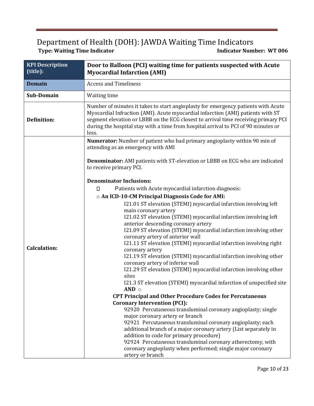### Department of Health (DOH): JAWDA Waiting Time Indicators **Type: Waiting Time Indicator Indicator Number: WT 006**

**KPI Description Door to Balloon (PCI) waiting time for patients suspected with Acute (title): Myocardial Infarction (AMI) Domain Access** and Timeliness **Sub-Domain** | Waiting time Number of minutes it takes to start angioplasty for emergency patients with Acute Myocardial Infraction (AMI). Acute myocardial infarction (AMI) patients with ST **Definition:**  segment elevation or LBBB on the ECG closest to arrival time receiving primary PCI during the hospital stay with a time from hospital arrival to PCI of 90 minutes or less. **Numerator:** Number of patient who had primary angioplasty within 90 min of attending as an emergency with AMI **Denominator:** AMI patients with ST-elevation or LBBB on ECG who are indicated to receive primary PCI. **Denominator Inclusions:**   $\Box$ Patients with Acute myocardial infarction diagnosis: o **An ICD-10-CM Principal Diagnosis Code for AMI:**  I21.01 ST elevation (STEMI) myocardial infarction involving left main coronary artery I21.02 ST elevation (STEMI) myocardial infarction involving left anterior descending coronary artery I21.09 ST elevation (STEMI) myocardial infarction involving other coronary artery of anterior wall I21.11 ST elevation (STEMI) myocardial infarction involving right **Calculation:**  coronary artery I21.19 ST elevation (STEMI) myocardial infarction involving other coronary artery of inferior wall I21.29 ST elevation (STEMI) myocardial infarction involving other sites I21.3 ST elevation (STEMI) myocardial infarction of unspecified site **AND** o **CPT Principal and Other Procedure Codes for Percutaneous Coronary Intervention (PCI):**  92920 Percutaneous transluminal coronary angioplasty; single major coronary artery or branch 92921 Percutaneous transluminal coronary angioplasty; each additional branch of a major coronary artery (List separately in addition to code for primary procedure) 92924 Percutaneous transluminal coronary atherectomy, with coronary angioplasty when performed; single major coronary artery or branch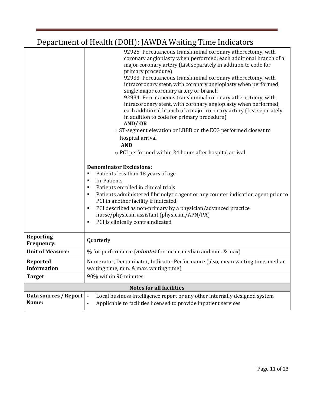|                                       | 92925 Percutaneous transluminal coronary atherectomy, with<br>coronary angioplasty when performed; each additional branch of a<br>major coronary artery (List separately in addition to code for<br>primary procedure)<br>92933 Percutaneous transluminal coronary atherectomy, with<br>intracoronary stent, with coronary angioplasty when performed;<br>single major coronary artery or branch<br>92934 Percutaneous transluminal coronary atherectomy, with<br>intracoronary stent, with coronary angioplasty when performed;<br>each additional branch of a major coronary artery (List separately<br>in addition to code for primary procedure)<br>AND/OR<br>o ST-segment elevation or LBBB on the ECG performed closest to<br>hospital arrival<br><b>AND</b><br>o PCI performed within 24 hours after hospital arrival |
|---------------------------------------|------------------------------------------------------------------------------------------------------------------------------------------------------------------------------------------------------------------------------------------------------------------------------------------------------------------------------------------------------------------------------------------------------------------------------------------------------------------------------------------------------------------------------------------------------------------------------------------------------------------------------------------------------------------------------------------------------------------------------------------------------------------------------------------------------------------------------|
|                                       |                                                                                                                                                                                                                                                                                                                                                                                                                                                                                                                                                                                                                                                                                                                                                                                                                              |
|                                       |                                                                                                                                                                                                                                                                                                                                                                                                                                                                                                                                                                                                                                                                                                                                                                                                                              |
|                                       |                                                                                                                                                                                                                                                                                                                                                                                                                                                                                                                                                                                                                                                                                                                                                                                                                              |
|                                       | <b>Denominator Exclusions:</b>                                                                                                                                                                                                                                                                                                                                                                                                                                                                                                                                                                                                                                                                                                                                                                                               |
|                                       | Patients less than 18 years of age<br>٠<br>In-Patients<br>$\blacksquare$                                                                                                                                                                                                                                                                                                                                                                                                                                                                                                                                                                                                                                                                                                                                                     |
|                                       | Patients enrolled in clinical trials<br>٠<br>Patients administered fibrinolytic agent or any counter indication agent prior to<br>٠<br>PCI in another facility if indicated                                                                                                                                                                                                                                                                                                                                                                                                                                                                                                                                                                                                                                                  |
|                                       | PCI described as non-primary by a physician/advanced practice<br>٠<br>nurse/physician assistant (physician/APN/PA)<br>PCI is clinically contraindicated<br>٠                                                                                                                                                                                                                                                                                                                                                                                                                                                                                                                                                                                                                                                                 |
| <b>Reporting</b><br>Frequency:        | Quarterly                                                                                                                                                                                                                                                                                                                                                                                                                                                                                                                                                                                                                                                                                                                                                                                                                    |
| <b>Unit of Measure:</b>               | % for performance ( <i>minutes</i> for mean, median and min. & max)                                                                                                                                                                                                                                                                                                                                                                                                                                                                                                                                                                                                                                                                                                                                                          |
| <b>Reported</b><br><b>Information</b> | Numerator, Denominator, Indicator Performance (also, mean waiting time, median<br>waiting time, min. & max. waiting time)                                                                                                                                                                                                                                                                                                                                                                                                                                                                                                                                                                                                                                                                                                    |
| <b>Target</b>                         | 90% within 90 minutes                                                                                                                                                                                                                                                                                                                                                                                                                                                                                                                                                                                                                                                                                                                                                                                                        |
|                                       | <b>Notes for all facilities</b>                                                                                                                                                                                                                                                                                                                                                                                                                                                                                                                                                                                                                                                                                                                                                                                              |
| Data sources / Report<br>Name:        | Local business intelligence report or any other internally designed system<br>$\blacksquare$<br>Applicable to facilities licensed to provide inpatient services                                                                                                                                                                                                                                                                                                                                                                                                                                                                                                                                                                                                                                                              |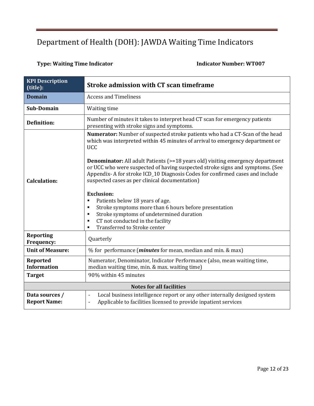### **Type: Waiting Time Indicator Indicator Number: WT007**

| <b>KPI</b> Description<br>(title):    | <b>Stroke admission with CT scan timeframe</b>                                                                                                                                                                                                                                                                                                                                                                                                                                                                                                                                                                                                                                                                                               |
|---------------------------------------|----------------------------------------------------------------------------------------------------------------------------------------------------------------------------------------------------------------------------------------------------------------------------------------------------------------------------------------------------------------------------------------------------------------------------------------------------------------------------------------------------------------------------------------------------------------------------------------------------------------------------------------------------------------------------------------------------------------------------------------------|
| <b>Domain</b>                         | <b>Access and Timeliness</b>                                                                                                                                                                                                                                                                                                                                                                                                                                                                                                                                                                                                                                                                                                                 |
| <b>Sub-Domain</b>                     | Waiting time                                                                                                                                                                                                                                                                                                                                                                                                                                                                                                                                                                                                                                                                                                                                 |
| <b>Definition:</b>                    | Number of minutes it takes to interpret head CT scan for emergency patients<br>presenting with stroke signs and symptoms.                                                                                                                                                                                                                                                                                                                                                                                                                                                                                                                                                                                                                    |
| <b>Calculation:</b>                   | Numerator: Number of suspected stroke patients who had a CT-Scan of the head<br>which was interpreted within 45 minutes of arrival to emergency department or<br><b>UCC</b><br><b>Denominator:</b> All adult Patients (>=18 years old) visiting emergency department<br>or UCC who were suspected of having suspected stroke signs and symptoms. (See<br>Appendix-A for stroke ICD_10 Diagnosis Codes for confirmed cases and include<br>suspected cases as per clinical documentation)<br><b>Exclusion:</b><br>Patients below 18 years of age.<br>٠<br>Stroke symptoms more than 6 hours before presentation<br>٠<br>Stroke symptoms of undetermined duration<br>CT not conducted in the facility<br>٠<br>Transferred to Stroke center<br>٠ |
| <b>Reporting</b><br>Frequency:        | Quarterly                                                                                                                                                                                                                                                                                                                                                                                                                                                                                                                                                                                                                                                                                                                                    |
| <b>Unit of Measure:</b>               | % for performance ( <i>minutes</i> for mean, median and min. & max)                                                                                                                                                                                                                                                                                                                                                                                                                                                                                                                                                                                                                                                                          |
| <b>Reported</b><br><b>Information</b> | Numerator, Denominator, Indicator Performance (also, mean waiting time,<br>median waiting time, min. & max. waiting time)                                                                                                                                                                                                                                                                                                                                                                                                                                                                                                                                                                                                                    |
| <b>Target</b>                         | 90% within 45 minutes                                                                                                                                                                                                                                                                                                                                                                                                                                                                                                                                                                                                                                                                                                                        |
|                                       | <b>Notes for all facilities</b>                                                                                                                                                                                                                                                                                                                                                                                                                                                                                                                                                                                                                                                                                                              |
| Data sources /<br><b>Report Name:</b> | Local business intelligence report or any other internally designed system<br>$\overline{\phantom{a}}$<br>Applicable to facilities licensed to provide inpatient services<br>$\blacksquare$                                                                                                                                                                                                                                                                                                                                                                                                                                                                                                                                                  |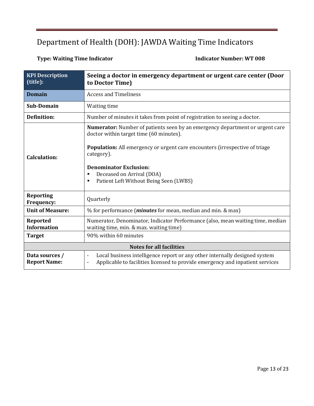### **Type: Waiting Time Indicator Contracts Contracts Indicator Indicator Number: WT 008**

| <b>KPI Description</b><br>(title):           | Seeing a doctor in emergency department or urgent care center (Door<br>to Doctor Time)                                                                                                                                                                                                                                                        |
|----------------------------------------------|-----------------------------------------------------------------------------------------------------------------------------------------------------------------------------------------------------------------------------------------------------------------------------------------------------------------------------------------------|
| <b>Domain</b>                                | <b>Access and Timeliness</b>                                                                                                                                                                                                                                                                                                                  |
| <b>Sub-Domain</b>                            | Waiting time                                                                                                                                                                                                                                                                                                                                  |
| <b>Definition:</b>                           | Number of minutes it takes from point of registration to seeing a doctor.                                                                                                                                                                                                                                                                     |
| <b>Calculation:</b>                          | <b>Numerator:</b> Number of patients seen by an emergency department or urgent care<br>doctor within target time (60 minutes).<br>Population: All emergency or urgent care encounters (irrespective of triage<br>category).<br><b>Denominator Exclusion:</b><br>Deceased on Arrival (DOA)<br>٠<br>Patient Left Without Being Seen (LWBS)<br>٠ |
| <b>Reporting</b>                             | Quarterly                                                                                                                                                                                                                                                                                                                                     |
| <b>Frequency:</b><br><b>Unit of Measure:</b> | % for performance ( <i>minutes</i> for mean, median and min. & max)                                                                                                                                                                                                                                                                           |
| Reported<br><b>Information</b>               | Numerator, Denominator, Indicator Performance (also, mean waiting time, median<br>waiting time, min. & max. waiting time)                                                                                                                                                                                                                     |
| <b>Target</b>                                | 90% within 60 minutes                                                                                                                                                                                                                                                                                                                         |
| <b>Notes for all facilities</b>              |                                                                                                                                                                                                                                                                                                                                               |
| Data sources /<br><b>Report Name:</b>        | Local business intelligence report or any other internally designed system<br>$\overline{\phantom{a}}$<br>Applicable to facilities licensed to provide emergency and inpatient services<br>$\overline{\phantom{a}}$                                                                                                                           |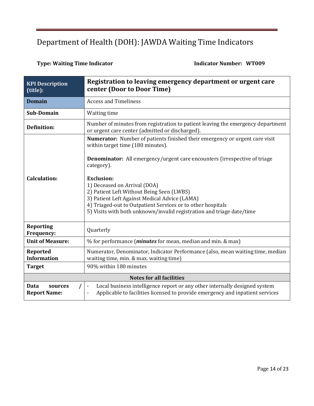### **Type: Waiting Time Indicator Contracts Contracts Fundicator Number: WT009**

| <b>KPI Description</b><br>(title):     | Registration to leaving emergency department or urgent care<br>center (Door to Door Time)                                                                                                                                                                                                                                                                                                                                                                                                                             |  |
|----------------------------------------|-----------------------------------------------------------------------------------------------------------------------------------------------------------------------------------------------------------------------------------------------------------------------------------------------------------------------------------------------------------------------------------------------------------------------------------------------------------------------------------------------------------------------|--|
| <b>Domain</b>                          | <b>Access and Timeliness</b>                                                                                                                                                                                                                                                                                                                                                                                                                                                                                          |  |
| Sub-Domain                             | Waiting time                                                                                                                                                                                                                                                                                                                                                                                                                                                                                                          |  |
| <b>Definition:</b>                     | Number of minutes from registration to patient leaving the emergency department<br>or urgent care center (admitted or discharged).                                                                                                                                                                                                                                                                                                                                                                                    |  |
| <b>Calculation:</b>                    | <b>Numerator:</b> Number of patients finished their emergency or urgent care visit<br>within target time (180 minutes).<br><b>Denominator:</b> All emergency/urgent care encounters (irrespective of triage)<br>category).<br><b>Exclusion:</b><br>1) Deceased on Arrival (DOA)<br>2) Patient Left Without Being Seen (LWBS)<br>3) Patient Left Against Medical Advice (LAMA)<br>4) Triaged-out to Outpatient Services or to other hospitals<br>5) Visits with both unknown/invalid registration and triage date/time |  |
| <b>Reporting</b><br>Frequency:         | Quarterly                                                                                                                                                                                                                                                                                                                                                                                                                                                                                                             |  |
| <b>Unit of Measure:</b>                | % for performance ( <i>minutes</i> for mean, median and min. & max)                                                                                                                                                                                                                                                                                                                                                                                                                                                   |  |
| Reported<br><b>Information</b>         | Numerator, Denominator, Indicator Performance (also, mean waiting time, median<br>waiting time, min. & max. waiting time)                                                                                                                                                                                                                                                                                                                                                                                             |  |
| <b>Target</b>                          | 90% within 180 minutes                                                                                                                                                                                                                                                                                                                                                                                                                                                                                                |  |
|                                        | <b>Notes for all facilities</b>                                                                                                                                                                                                                                                                                                                                                                                                                                                                                       |  |
| Data<br>sources<br><b>Report Name:</b> | Local business intelligence report or any other internally designed system<br>$\overline{\phantom{a}}$<br>Applicable to facilities licensed to provide emergency and inpatient services<br>$\qquad \qquad \blacksquare$                                                                                                                                                                                                                                                                                               |  |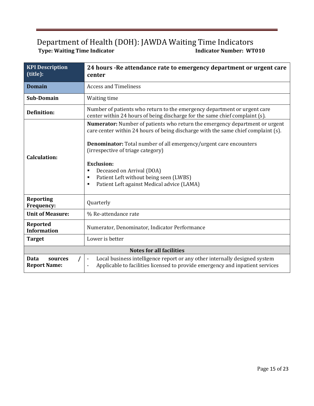| <b>KPI Description</b><br>(title):     | 24 hours - Re attendance rate to emergency department or urgent care<br>center                                                                                                                                                                                                                                                                                                                                                      |  |
|----------------------------------------|-------------------------------------------------------------------------------------------------------------------------------------------------------------------------------------------------------------------------------------------------------------------------------------------------------------------------------------------------------------------------------------------------------------------------------------|--|
| <b>Domain</b>                          | <b>Access and Timeliness</b>                                                                                                                                                                                                                                                                                                                                                                                                        |  |
| <b>Sub-Domain</b>                      | Waiting time                                                                                                                                                                                                                                                                                                                                                                                                                        |  |
| <b>Definition:</b>                     | Number of patients who return to the emergency department or urgent care<br>center within 24 hours of being discharge for the same chief complaint (s).                                                                                                                                                                                                                                                                             |  |
| <b>Calculation:</b>                    | Numerator: Number of patients who return the emergency department or urgent<br>care center within 24 hours of being discharge with the same chief complaint (s).<br>Denominator: Total number of all emergency/urgent care encounters<br>(irrespective of triage category)<br><b>Exclusion:</b><br>Deceased on Arrival (DOA)<br>٠<br>Patient Left without being seen (LWBS)<br>٠<br>Patient Left against Medical advice (LAMA)<br>٠ |  |
| <b>Reporting</b><br>Frequency:         | Quarterly                                                                                                                                                                                                                                                                                                                                                                                                                           |  |
| <b>Unit of Measure:</b>                | % Re-attendance rate                                                                                                                                                                                                                                                                                                                                                                                                                |  |
| Reported<br><b>Information</b>         | Numerator, Denominator, Indicator Performance                                                                                                                                                                                                                                                                                                                                                                                       |  |
| <b>Target</b>                          | Lower is better                                                                                                                                                                                                                                                                                                                                                                                                                     |  |
|                                        | <b>Notes for all facilities</b>                                                                                                                                                                                                                                                                                                                                                                                                     |  |
| Data<br>sources<br><b>Report Name:</b> | Local business intelligence report or any other internally designed system<br>$\blacksquare$<br>Applicable to facilities licensed to provide emergency and inpatient services<br>-                                                                                                                                                                                                                                                  |  |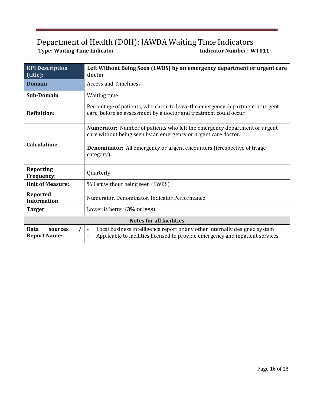| <b>KPI Description</b><br>(title):     | Left Without Being Seen (LWBS) by an emergency department or urgent care<br>doctor                                                                                                                                                                  |
|----------------------------------------|-----------------------------------------------------------------------------------------------------------------------------------------------------------------------------------------------------------------------------------------------------|
| <b>Domain</b>                          | <b>Access and Timeliness</b>                                                                                                                                                                                                                        |
| <b>Sub-Domain</b>                      | Waiting time                                                                                                                                                                                                                                        |
| Definition:                            | Percentage of patients, who chose to leave the emergency department or urgent<br>care, before an assessment by a doctor and treatment could occur.                                                                                                  |
| <b>Calculation:</b>                    | <b>Numerator:</b> Number of patients who left the emergency department or urgent<br>care without being seen by an emergency or urgent care doctor.<br><b>Denominator:</b> All emergency or urgent encounters (irrespective of triage)<br>category). |
| <b>Reporting</b><br>Frequency:         | Quarterly                                                                                                                                                                                                                                           |
| <b>Unit of Measure:</b>                | % Left without being seen (LWBS)                                                                                                                                                                                                                    |
| Reported<br><b>Information</b>         | Numerator, Denominator, Indicator Performance                                                                                                                                                                                                       |
| <b>Target</b>                          | Lower is better (3% or less)                                                                                                                                                                                                                        |
| <b>Notes for all facilities</b>        |                                                                                                                                                                                                                                                     |
| Data<br>sources<br><b>Report Name:</b> | Local business intelligence report or any other internally designed system<br>$\overline{\phantom{a}}$<br>Applicable to facilities licensed to provide emergency and inpatient services                                                             |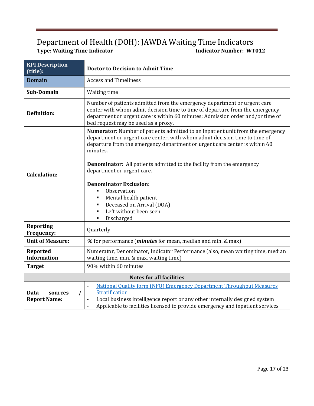| <b>KPI Description</b><br>(title):                 | <b>Doctor to Decision to Admit Time</b>                                                                                                                                                                                                                                                                                                                                                                                                                                                                            |  |
|----------------------------------------------------|--------------------------------------------------------------------------------------------------------------------------------------------------------------------------------------------------------------------------------------------------------------------------------------------------------------------------------------------------------------------------------------------------------------------------------------------------------------------------------------------------------------------|--|
| <b>Domain</b>                                      | <b>Access and Timeliness</b>                                                                                                                                                                                                                                                                                                                                                                                                                                                                                       |  |
| <b>Sub-Domain</b>                                  | Waiting time                                                                                                                                                                                                                                                                                                                                                                                                                                                                                                       |  |
| <b>Definition:</b>                                 | Number of patients admitted from the emergency department or urgent care<br>center with whom admit decision time to time of departure from the emergency<br>department or urgent care is within 60 minutes; Admission order and/or time of<br>bed request may be used as a proxy.                                                                                                                                                                                                                                  |  |
| <b>Calculation:</b>                                | Numerator: Number of patients admitted to an inpatient unit from the emergency<br>department or urgent care center, with whom admit decision time to time of<br>departure from the emergency department or urgent care center is within 60<br>minutes.<br><b>Denominator:</b> All patients admitted to the facility from the emergency<br>department or urgent care.<br><b>Denominator Exclusion:</b><br>Observation<br>Mental health patient<br>Deceased on Arrival (DOA)<br>Left without been seen<br>Discharged |  |
| <b>Reporting</b><br>Frequency:                     | Quarterly                                                                                                                                                                                                                                                                                                                                                                                                                                                                                                          |  |
| <b>Unit of Measure:</b>                            | % for performance ( <i>minutes</i> for mean, median and min. & max)                                                                                                                                                                                                                                                                                                                                                                                                                                                |  |
| <b>Reported</b><br><b>Information</b>              | Numerator, Denominator, Indicator Performance (also, mean waiting time, median<br>waiting time, min. & max. waiting time)                                                                                                                                                                                                                                                                                                                                                                                          |  |
| <b>Target</b>                                      | 90% within 60 minutes                                                                                                                                                                                                                                                                                                                                                                                                                                                                                              |  |
| <b>Notes for all facilities</b>                    |                                                                                                                                                                                                                                                                                                                                                                                                                                                                                                                    |  |
| <b>Data</b><br>sources<br>T<br><b>Report Name:</b> | <b>National Quality form (NFQ) Emergency Department Throughput Measures</b><br>$\overline{\phantom{a}}$<br>Stratification<br>Local business intelligence report or any other internally designed system<br>Applicable to facilities licensed to provide emergency and inpatient services                                                                                                                                                                                                                           |  |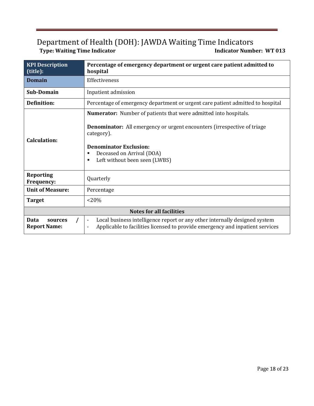| <b>KPI Description</b><br>(title):                                                                                                                                                                                                                                                                       | Percentage of emergency department or urgent care patient admitted to<br>hospital                                                                                                       |  |
|----------------------------------------------------------------------------------------------------------------------------------------------------------------------------------------------------------------------------------------------------------------------------------------------------------|-----------------------------------------------------------------------------------------------------------------------------------------------------------------------------------------|--|
| <b>Domain</b>                                                                                                                                                                                                                                                                                            | Effectiveness                                                                                                                                                                           |  |
| <b>Sub-Domain</b>                                                                                                                                                                                                                                                                                        | Inpatient admission                                                                                                                                                                     |  |
| <b>Definition:</b>                                                                                                                                                                                                                                                                                       | Percentage of emergency department or urgent care patient admitted to hospital                                                                                                          |  |
| <b>Numerator:</b> Number of patients that were admitted into hospitals.<br><b>Denominator:</b> All emergency or urgent encounters (irrespective of triage)<br>category).<br><b>Calculation:</b><br><b>Denominator Exclusion:</b><br>Deceased on Arrival (DOA)<br>п<br>Left without been seen (LWBS)<br>п |                                                                                                                                                                                         |  |
| <b>Reporting</b><br><b>Frequency:</b>                                                                                                                                                                                                                                                                    | Quarterly                                                                                                                                                                               |  |
| <b>Unit of Measure:</b>                                                                                                                                                                                                                                                                                  | Percentage                                                                                                                                                                              |  |
| <b>Target</b>                                                                                                                                                                                                                                                                                            | $< 20\%$                                                                                                                                                                                |  |
| <b>Notes for all facilities</b>                                                                                                                                                                                                                                                                          |                                                                                                                                                                                         |  |
| Data<br>sources<br><b>Report Name:</b>                                                                                                                                                                                                                                                                   | Local business intelligence report or any other internally designed system<br>$\overline{\phantom{a}}$<br>Applicable to facilities licensed to provide emergency and inpatient services |  |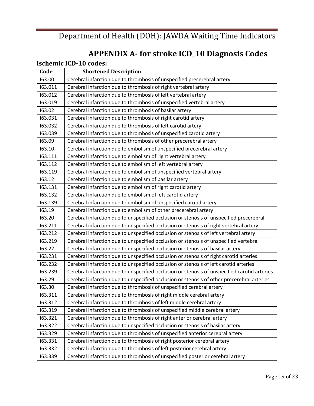# **APPENDIX A- for stroke ICD\_10 Diagnosis Codes**

|         | <b>Ischemic ICD-10 codes:</b>                                                                |
|---------|----------------------------------------------------------------------------------------------|
| Code    | <b>Shortened Description</b>                                                                 |
| 163.00  | Cerebral infarction due to thrombosis of unspecified precerebral artery                      |
| 163.011 | Cerebral infarction due to thrombosis of right vertebral artery                              |
| 163.012 | Cerebral infarction due to thrombosis of left vertebral artery                               |
| 163.019 | Cerebral infarction due to thrombosis of unspecified vertebral artery                        |
| 163.02  | Cerebral infarction due to thrombosis of basilar artery                                      |
| 163.031 | Cerebral infarction due to thrombosis of right carotid artery                                |
| 163.032 | Cerebral infarction due to thrombosis of left carotid artery                                 |
| 163.039 | Cerebral infarction due to thrombosis of unspecified carotid artery                          |
| 163.09  | Cerebral infarction due to thrombosis of other precerebral artery                            |
| 163.10  | Cerebral infarction due to embolism of unspecified precerebral artery                        |
| 163.111 | Cerebral infarction due to embolism of right vertebral artery                                |
| 163.112 | Cerebral infarction due to embolism of left vertebral artery                                 |
| 163.119 | Cerebral infarction due to embolism of unspecified vertebral artery                          |
| 163.12  | Cerebral infarction due to embolism of basilar artery                                        |
| 163.131 | Cerebral infarction due to embolism of right carotid artery                                  |
| 163.132 | Cerebral infarction due to embolism of left carotid artery                                   |
| 163.139 | Cerebral infarction due to embolism of unspecified carotid artery                            |
| 163.19  | Cerebral infarction due to embolism of other precerebral artery                              |
| 163.20  | Cerebral infarction due to unspecified occlusion or stenosis of unspecified precerebral      |
| 163.211 | Cerebral infarction due to unspecified occlusion or stenosis of right vertebral artery       |
| 163.212 | Cerebral infarction due to unspecified occlusion or stenosis of left vertebral artery        |
| 163.219 | Cerebral infarction due to unspecified occlusion or stenosis of unspecified vertebral        |
| 163.22  | Cerebral infarction due to unspecified occlusion or stenosis of basilar artery               |
| 163.231 | Cerebral infarction due to unspecified occlusion or stenosis of right carotid arteries       |
| 163.232 | Cerebral infarction due to unspecified occlusion or stenosis of left carotid arteries        |
| 163.239 | Cerebral infarction due to unspecified occlusion or stenosis of unspecified carotid arteries |
| 163.29  | Cerebral infarction due to unspecified occlusion or stenosis of other precerebral arteries   |
| 163.30  | Cerebral infarction due to thrombosis of unspecified cerebral artery                         |
| 163.311 | Cerebral infarction due to thrombosis of right middle cerebral artery                        |
| 163.312 | Cerebral infarction due to thrombosis of left middle cerebral artery                         |
| 163.319 | Cerebral infarction due to thrombosis of unspecified middle cerebral artery                  |
| 163.321 | Cerebral infarction due to thrombosis of right anterior cerebral artery                      |
| 163.322 | Cerebral infarction due to unspecified occlusion or stenosis of basilar artery               |
| 163.329 | Cerebral infarction due to thrombosis of unspecified anterior cerebral artery                |
| 163.331 | Cerebral infarction due to thrombosis of right posterior cerebral artery                     |
| 163.332 | Cerebral infarction due to thrombosis of left posterior cerebral artery                      |
| 163.339 | Cerebral infarction due to thrombosis of unspecified posterior cerebral artery               |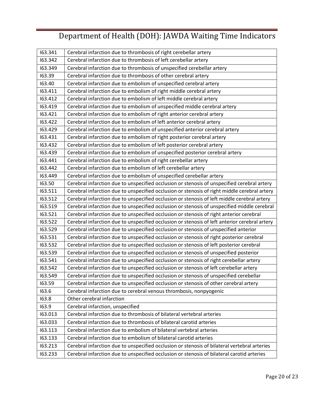| 163.341 | Cerebral infarction due to thrombosis of right cerebellar artery                              |
|---------|-----------------------------------------------------------------------------------------------|
| 163.342 | Cerebral infarction due to thrombosis of left cerebellar artery                               |
| 163.349 | Cerebral infarction due to thrombosis of unspecified cerebellar artery                        |
| 163.39  | Cerebral infarction due to thrombosis of other cerebral artery                                |
| 163.40  | Cerebral infarction due to embolism of unspecified cerebral artery                            |
| 163.411 | Cerebral infarction due to embolism of right middle cerebral artery                           |
| 163.412 | Cerebral infarction due to embolism of left middle cerebral artery                            |
| 163.419 | Cerebral infarction due to embolism of unspecified middle cerebral artery                     |
| 163.421 | Cerebral infarction due to embolism of right anterior cerebral artery                         |
| 163.422 | Cerebral infarction due to embolism of left anterior cerebral artery                          |
| 163.429 | Cerebral infarction due to embolism of unspecified anterior cerebral artery                   |
| 163.431 | Cerebral infarction due to embolism of right posterior cerebral artery                        |
| 163.432 | Cerebral infarction due to embolism of left posterior cerebral artery                         |
| 163.439 | Cerebral infarction due to embolism of unspecified posterior cerebral artery                  |
| 163.441 | Cerebral infarction due to embolism of right cerebellar artery                                |
| 163.442 | Cerebral infarction due to embolism of left cerebellar artery                                 |
| 163.449 | Cerebral infarction due to embolism of unspecified cerebellar artery                          |
| 163.50  | Cerebral infarction due to unspecified occlusion or stenosis of unspecified cerebral artery   |
| 163.511 | Cerebral infarction due to unspecified occlusion or stenosis of right middle cerebral artery  |
| 163.512 | Cerebral infarction due to unspecified occlusion or stenosis of left middle cerebral artery   |
| 163.519 | Cerebral infarction due to unspecified occlusion or stenosis of unspecified middle cerebral   |
| 163.521 | Cerebral infarction due to unspecified occlusion or stenosis of right anterior cerebral       |
| 163.522 | Cerebral infarction due to unspecified occlusion or stenosis of left anterior cerebral artery |
| 163.529 | Cerebral infarction due to unspecified occlusion or stenosis of unspecified anterior          |
| 163.531 | Cerebral infarction due to unspecified occlusion or stenosis of right posterior cerebral      |
| 163.532 | Cerebral infarction due to unspecified occlusion or stenosis of left posterior cerebral       |
| 163.539 | Cerebral infarction due to unspecified occlusion or stenosis of unspecified posterior         |
| 163.541 | Cerebral infarction due to unspecified occlusion or stenosis of right cerebellar artery       |
| 163.542 | Cerebral infarction due to unspecified occlusion or stenosis of left cerebellar artery        |
| 163.549 | Cerebral infarction due to unspecified occlusion or stenosis of unspecified cerebellar        |
| 163.59  | Cerebral infarction due to unspecified occlusion or stenosis of other cerebral artery         |
| 163.6   | Cerebral infarction due to cerebral venous thrombosis, nonpyogenic                            |
| 163.8   | Other cerebral infarction                                                                     |
| 163.9   | Cerebral infarction, unspecified                                                              |
| 163.013 | Cerebral infarction due to thrombosis of bilateral vertebral arteries                         |
| 163.033 | Cerebral infarction due to thrombosis of bilateral carotid arteries                           |
| 163.113 | Cerebral infarction due to embolism of bilateral vertebral arteries                           |
| 163.133 | Cerebral infarction due to embolism of bilateral carotid arteries                             |
| 163.213 | Cerebral infarction due to unspecified occlusion or stenosis of bilateral vertebral arteries  |
| 163.233 | Cerebral infarction due to unspecified occlusion or stenosis of bilateral carotid arteries    |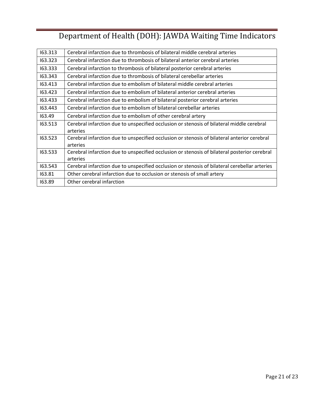| 163.313 | Cerebral infarction due to thrombosis of bilateral middle cerebral arteries                   |
|---------|-----------------------------------------------------------------------------------------------|
| 163.323 | Cerebral infarction due to thrombosis of bilateral anterior cerebral arteries                 |
| 163.333 | Cerebral infarction to thrombosis of bilateral posterior cerebral arteries                    |
| 163.343 | Cerebral infarction due to thrombosis of bilateral cerebellar arteries                        |
| 163.413 | Cerebral infarction due to embolism of bilateral middle cerebral arteries                     |
| 163.423 | Cerebral infarction due to embolism of bilateral anterior cerebral arteries                   |
| 163.433 | Cerebral infarction due to embolism of bilateral posterior cerebral arteries                  |
| 163.443 | Cerebral infarction due to embolism of bilateral cerebellar arteries                          |
| 163.49  | Cerebral infarction due to embolism of other cerebral artery                                  |
| 163.513 | Cerebral infarction due to unspecified occlusion or stenosis of bilateral middle cerebral     |
|         | arteries                                                                                      |
| 163.523 | Cerebral infarction due to unspecified occlusion or stenosis of bilateral anterior cerebral   |
|         | arteries                                                                                      |
| 163.533 | Cerebral infarction due to unspecified occlusion or stenosis of bilateral posterior cerebral  |
|         | arteries                                                                                      |
| 163.543 | Cerebral infarction due to unspecified occlusion or stenosis of bilateral cerebellar arteries |
| 163.81  | Other cerebral infarction due to occlusion or stenosis of small artery                        |
| 163.89  | Other cerebral infarction                                                                     |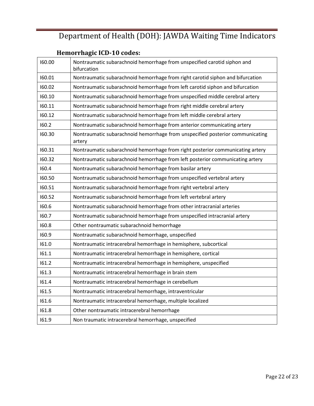### **Hemorrhagic ICD-10 codes:**

| 160.00 | Nontraumatic subarachnoid hemorrhage from unspecified carotid siphon and<br>bifurcation |
|--------|-----------------------------------------------------------------------------------------|
| 160.01 | Nontraumatic subarachnoid hemorrhage from right carotid siphon and bifurcation          |
| 160.02 | Nontraumatic subarachnoid hemorrhage from left carotid siphon and bifurcation           |
| 160.10 | Nontraumatic subarachnoid hemorrhage from unspecified middle cerebral artery            |
| 160.11 | Nontraumatic subarachnoid hemorrhage from right middle cerebral artery                  |
| 160.12 | Nontraumatic subarachnoid hemorrhage from left middle cerebral artery                   |
| 160.2  | Nontraumatic subarachnoid hemorrhage from anterior communicating artery                 |
| 160.30 | Nontraumatic subarachnoid hemorrhage from unspecified posterior communicating<br>artery |
| 160.31 | Nontraumatic subarachnoid hemorrhage from right posterior communicating artery          |
| 160.32 | Nontraumatic subarachnoid hemorrhage from left posterior communicating artery           |
| 160.4  | Nontraumatic subarachnoid hemorrhage from basilar artery                                |
| 160.50 | Nontraumatic subarachnoid hemorrhage from unspecified vertebral artery                  |
| 160.51 | Nontraumatic subarachnoid hemorrhage from right vertebral artery                        |
| 160.52 | Nontraumatic subarachnoid hemorrhage from left vertebral artery                         |
| 160.6  | Nontraumatic subarachnoid hemorrhage from other intracranial arteries                   |
| 160.7  | Nontraumatic subarachnoid hemorrhage from unspecified intracranial artery               |
| 160.8  | Other nontraumatic subarachnoid hemorrhage                                              |
| 160.9  | Nontraumatic subarachnoid hemorrhage, unspecified                                       |
| 161.0  | Nontraumatic intracerebral hemorrhage in hemisphere, subcortical                        |
| 161.1  | Nontraumatic intracerebral hemorrhage in hemisphere, cortical                           |
| 161.2  | Nontraumatic intracerebral hemorrhage in hemisphere, unspecified                        |
| 161.3  | Nontraumatic intracerebral hemorrhage in brain stem                                     |
| 161.4  | Nontraumatic intracerebral hemorrhage in cerebellum                                     |
| 161.5  | Nontraumatic intracerebral hemorrhage, intraventricular                                 |
| 161.6  | Nontraumatic intracerebral hemorrhage, multiple localized                               |
| 161.8  | Other nontraumatic intracerebral hemorrhage                                             |
| 161.9  | Non traumatic intracerebral hemorrhage, unspecified                                     |